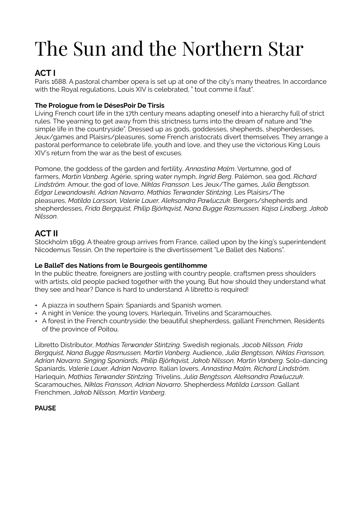# The Sun and the Northern Star

## **ACT I**

Paris 1688. A pastoral chamber opera is set up at one of the city's many theatres. In accordance with the Royal regulations, Louis XIV is celebrated, " tout comme il faut".

### **The Prologue from le DésesPoir De Tirsis**

Living French court life in the 17th century means adapting oneself into a hierarchy full of strict rules. The yearning to get away from this strictness turns into the dream of nature and "the simple life in the countryside". Dressed up as gods, goddesses, shepherds, shepherdesses, Jeux/games and Plaisirs/pleasures, some French aristocrats divert themselves. They arrange a pastoral performance to celebrate life, youth and love, and they use the victorious King Louis XIV's return from the war as the best of excuses.

Pomone, the goddess of the garden and fertility, *Annastina Malm*. Vertumne, god of farmers, *Martin Vanberg*. Agérie, spring water nymph, *Ingrid Berg*. Palémon, sea god, *Richard Lindström.* Amour, the god of love, *Niklas Fransson*. Les Jeux/The games, *Julia Bengtsson, Edgar Lewandowski, Adrian Navarro, Mathias Terwander Stintzing*. Les Plaisirs/The pleasures, *Matilda Larsson, Valerie Lauer, Aleksandra Pawluczuk*. Bergers/shepherds and shepherdesses, *Frida Bergquist, Philip Björkqvist, Nana Bugge Rasmussen, Kajsa Lindberg, Jakob Nilsson*.

## **ACT II**

Stockholm 1699. A theatre group arrives from France, called upon by the king's superintendent Nicodemus Tessin. On the repertoire is the divertissement "Le Ballet des Nations".

#### **Le BalleT des Nations from le Bourgeois gentilhomme**

In the public theatre, foreigners are jostling with country people, craftsmen press shoulders with artists, old people packed together with the young. But how should they understand what they see and hear? Dance is hard to understand. A libretto is required!

- A piazza in southern Spain: Spaniards and Spanish women.
- A night in Venice: the young lovers, Harlequin, Trivelins and Scaramouches.
- A forest in the French countryside: the beautiful shepherdess, gallant Frenchmen, Residents of the province of Poitou.

Libretto Distributor, *Mathias Terwander Stintzing*. Swedish regionals, *Jacob Nilsson, Frida Bergquist, Nana Bugge Rasmussen, Martin Vanberg*. Audience, *Julia Bengtsson, Niklas Fransson, Adrian Navarro. Singing Spaniards, Philip Björkqvist, Jakob Nilsson, Martin Vanberg*. Solo-dancing Spaniards, *Valerie Lauer, Adrian Navarro*. Italian lovers, *Annastina Malm, Richard Lindström*. Harlequin, *Mathias Terwander Stintzing.* Trivelins, *Julia Bengtsson, Aleksandra Pawluczuk*. Scaramouches, *Niklas Fransson, Adrian Navarro*. Shepherdess *Matilda Larsson*. Gallant Frenchmen, *Jakob Nilsson, Martin Vanberg*.

#### **PAUSE**